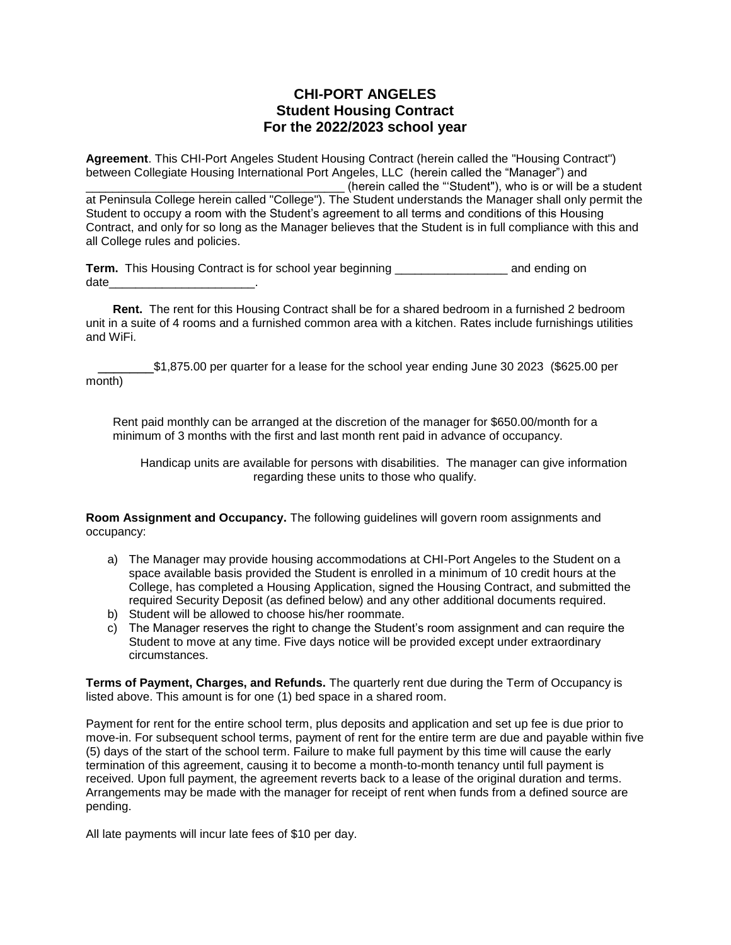## **CHI-PORT ANGELES Student Housing Contract For the 2022/2023 school year**

**Agreement**. This CHI-Port Angeles Student Housing Contract (herein called the "Housing Contract") between Collegiate Housing International Port Angeles, LLC (herein called the "Manager") and (herein called the "'Student"), who is or will be a student at Peninsula College herein called "College"). The Student understands the Manager shall only permit the Student to occupy a room with the Student's agreement to all terms and conditions of this Housing Contract, and only for so long as the Manager believes that the Student is in full compliance with this and all College rules and policies.

**Term.** This Housing Contract is for school year beginning \_\_\_\_\_\_\_\_\_\_\_\_\_\_\_\_\_ and ending on date\_\_\_\_\_\_\_\_\_\_\_\_\_\_\_\_\_\_\_\_\_\_.

**Rent.** The rent for this Housing Contract shall be for a shared bedroom in a furnished 2 bedroom unit in a suite of 4 rooms and a furnished common area with a kitchen. Rates include furnishings utilities and WiFi.

 \_\_\_\_\_\_\_\$1,875.00 per quarter for a lease for the school year ending June 30 2023 (\$625.00 per month)

Rent paid monthly can be arranged at the discretion of the manager for \$650.00/month for a minimum of 3 months with the first and last month rent paid in advance of occupancy.

Handicap units are available for persons with disabilities. The manager can give information regarding these units to those who qualify.

**Room Assignment and Occupancy.** The following guidelines will govern room assignments and occupancy:

- a) The Manager may provide housing accommodations at CHI-Port Angeles to the Student on a space available basis provided the Student is enrolled in a minimum of 10 credit hours at the College, has completed a Housing Application, signed the Housing Contract, and submitted the required Security Deposit (as defined below) and any other additional documents required.
- b) Student will be allowed to choose his/her roommate.
- c) The Manager reserves the right to change the Student's room assignment and can require the Student to move at any time. Five days notice will be provided except under extraordinary circumstances.

**Terms of Payment, Charges, and Refunds.** The quarterly rent due during the Term of Occupancy is listed above. This amount is for one (1) bed space in a shared room.

Payment for rent for the entire school term, plus deposits and application and set up fee is due prior to move-in. For subsequent school terms, payment of rent for the entire term are due and payable within five (5) days of the start of the school term. Failure to make full payment by this time will cause the early termination of this agreement, causing it to become a month-to-month tenancy until full payment is received. Upon full payment, the agreement reverts back to a lease of the original duration and terms. Arrangements may be made with the manager for receipt of rent when funds from a defined source are pending.

All late payments will incur late fees of \$10 per day.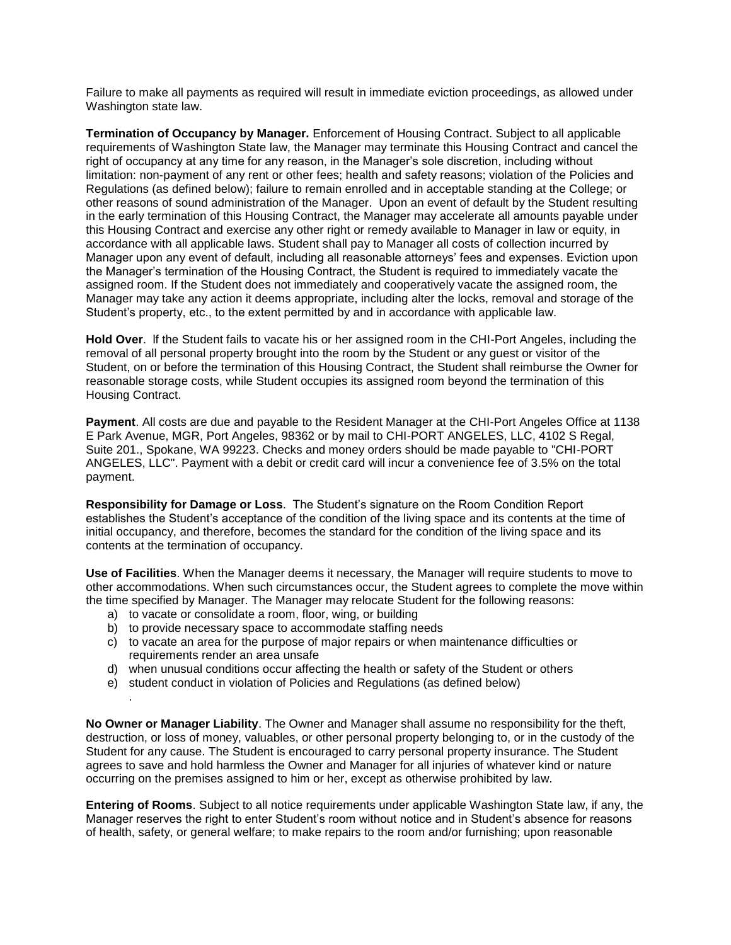Failure to make all payments as required will result in immediate eviction proceedings, as allowed under Washington state law.

**Termination of Occupancy by Manager.** Enforcement of Housing Contract. Subject to all applicable requirements of Washington State law, the Manager may terminate this Housing Contract and cancel the right of occupancy at any time for any reason, in the Manager's sole discretion, including without limitation: non-payment of any rent or other fees; health and safety reasons; violation of the Policies and Regulations (as defined below); failure to remain enrolled and in acceptable standing at the College; or other reasons of sound administration of the Manager. Upon an event of default by the Student resulting in the early termination of this Housing Contract, the Manager may accelerate all amounts payable under this Housing Contract and exercise any other right or remedy available to Manager in law or equity, in accordance with all applicable laws. Student shall pay to Manager all costs of collection incurred by Manager upon any event of default, including all reasonable attorneys' fees and expenses. Eviction upon the Manager's termination of the Housing Contract, the Student is required to immediately vacate the assigned room. If the Student does not immediately and cooperatively vacate the assigned room, the Manager may take any action it deems appropriate, including alter the locks, removal and storage of the Student's property, etc., to the extent permitted by and in accordance with applicable law.

**Hold Over**. lf the Student fails to vacate his or her assigned room in the CHI-Port Angeles, including the removal of all personal property brought into the room by the Student or any guest or visitor of the Student, on or before the termination of this Housing Contract, the Student shall reimburse the Owner for reasonable storage costs, while Student occupies its assigned room beyond the termination of this Housing Contract.

**Payment**. All costs are due and payable to the Resident Manager at the CHI-Port Angeles Office at 1138 E Park Avenue, MGR, Port Angeles, 98362 or by mail to CHI-PORT ANGELES, LLC, 4102 S Regal, Suite 201., Spokane, WA 99223. Checks and money orders should be made payable to "CHI-PORT ANGELES, LLC". Payment with a debit or credit card will incur a convenience fee of 3.5% on the total payment.

**Responsibility for Damage or Loss**. The Student's signature on the Room Condition Report establishes the Student's acceptance of the condition of the living space and its contents at the time of initial occupancy, and therefore, becomes the standard for the condition of the living space and its contents at the termination of occupancy.

**Use of Facilities**. When the Manager deems it necessary, the Manager will require students to move to other accommodations. When such circumstances occur, the Student agrees to complete the move within the time specified by Manager. The Manager may relocate Student for the following reasons:

a) to vacate or consolidate a room, floor, wing, or building

.

- b) to provide necessary space to accommodate staffing needs
- c) to vacate an area for the purpose of major repairs or when maintenance difficulties or requirements render an area unsafe
- d) when unusual conditions occur affecting the health or safety of the Student or others
- e) student conduct in violation of Policies and Regulations (as defined below)

**No Owner or Manager Liability**. The Owner and Manager shall assume no responsibility for the theft, destruction, or loss of money, valuables, or other personal property belonging to, or in the custody of the Student for any cause. The Student is encouraged to carry personal property insurance. The Student agrees to save and hold harmless the Owner and Manager for all injuries of whatever kind or nature occurring on the premises assigned to him or her, except as otherwise prohibited by law.

**Entering of Rooms**. Subject to all notice requirements under applicable Washington State law, if any, the Manager reserves the right to enter Student's room without notice and in Student's absence for reasons of health, safety, or general welfare; to make repairs to the room and/or furnishing; upon reasonable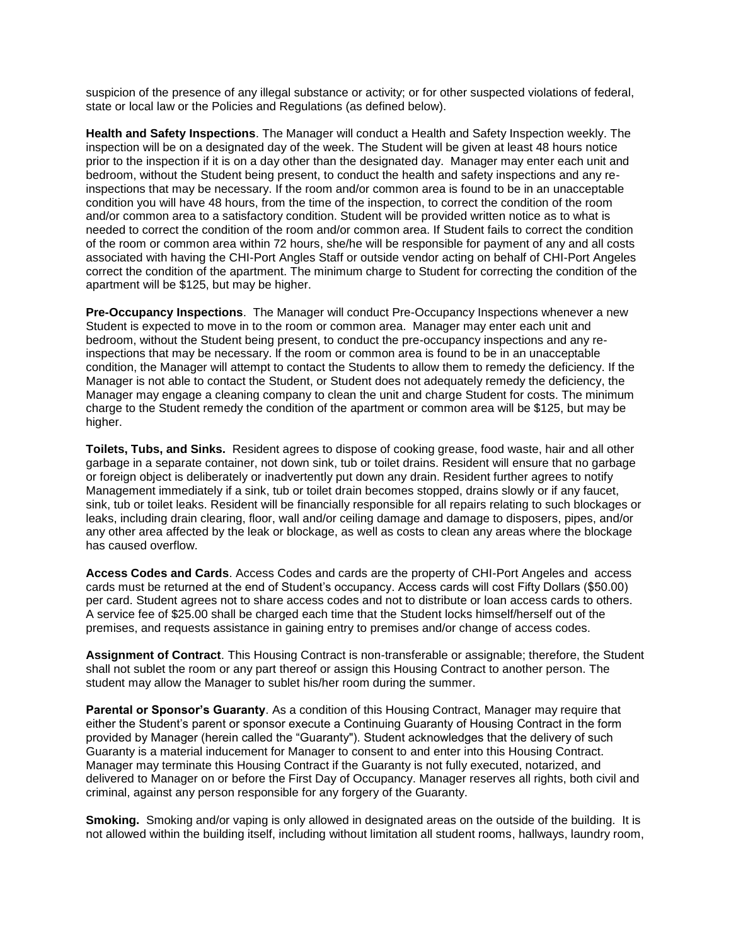suspicion of the presence of any illegal substance or activity; or for other suspected violations of federal, state or local law or the Policies and Regulations (as defined below).

**Health and Safety Inspections**. The Manager will conduct a Health and Safety Inspection weekly. The inspection will be on a designated day of the week. The Student will be given at least 48 hours notice prior to the inspection if it is on a day other than the designated day. Manager may enter each unit and bedroom, without the Student being present, to conduct the health and safety inspections and any reinspections that may be necessary. If the room and/or common area is found to be in an unacceptable condition you will have 48 hours, from the time of the inspection, to correct the condition of the room and/or common area to a satisfactory condition. Student will be provided written notice as to what is needed to correct the condition of the room and/or common area. If Student fails to correct the condition of the room or common area within 72 hours, she/he will be responsible for payment of any and all costs associated with having the CHI-Port Angles Staff or outside vendor acting on behalf of CHI-Port Angeles correct the condition of the apartment. The minimum charge to Student for correcting the condition of the apartment will be \$125, but may be higher.

**Pre-Occupancy Inspections**. The Manager will conduct Pre-Occupancy Inspections whenever a new Student is expected to move in to the room or common area. Manager may enter each unit and bedroom, without the Student being present, to conduct the pre-occupancy inspections and any reinspections that may be necessary. lf the room or common area is found to be in an unacceptable condition, the Manager will attempt to contact the Students to allow them to remedy the deficiency. If the Manager is not able to contact the Student, or Student does not adequately remedy the deficiency, the Manager may engage a cleaning company to clean the unit and charge Student for costs. The minimum charge to the Student remedy the condition of the apartment or common area will be \$125, but may be higher.

**Toilets, Tubs, and Sinks.** Resident agrees to dispose of cooking grease, food waste, hair and all other garbage in a separate container, not down sink, tub or toilet drains. Resident will ensure that no garbage or foreign object is deliberately or inadvertently put down any drain. Resident further agrees to notify Management immediately if a sink, tub or toilet drain becomes stopped, drains slowly or if any faucet, sink, tub or toilet leaks. Resident will be financially responsible for all repairs relating to such blockages or leaks, including drain clearing, floor, wall and/or ceiling damage and damage to disposers, pipes, and/or any other area affected by the leak or blockage, as well as costs to clean any areas where the blockage has caused overflow.

**Access Codes and Cards**. Access Codes and cards are the property of CHI-Port Angeles and access cards must be returned at the end of Student's occupancy. Access cards will cost Fifty Dollars (\$50.00) per card. Student agrees not to share access codes and not to distribute or loan access cards to others. A service fee of \$25.00 shall be charged each time that the Student locks himself/herself out of the premises, and requests assistance in gaining entry to premises and/or change of access codes.

**Assignment of Contract**. This Housing Contract is non-transferable or assignable; therefore, the Student shall not sublet the room or any part thereof or assign this Housing Contract to another person. The student may allow the Manager to sublet his/her room during the summer.

**Parental or Sponsor's Guaranty**. As a condition of this Housing Contract, Manager may require that either the Student's parent or sponsor execute a Continuing Guaranty of Housing Contract in the form provided by Manager (herein called the "Guaranty"). Student acknowledges that the delivery of such Guaranty is a material inducement for Manager to consent to and enter into this Housing Contract. Manager may terminate this Housing Contract if the Guaranty is not fully executed, notarized, and delivered to Manager on or before the First Day of Occupancy. Manager reserves all rights, both civil and criminal, against any person responsible for any forgery of the Guaranty.

**Smoking.** Smoking and/or vaping is only allowed in designated areas on the outside of the building. It is not allowed within the building itself, including without limitation all student rooms, hallways, laundry room,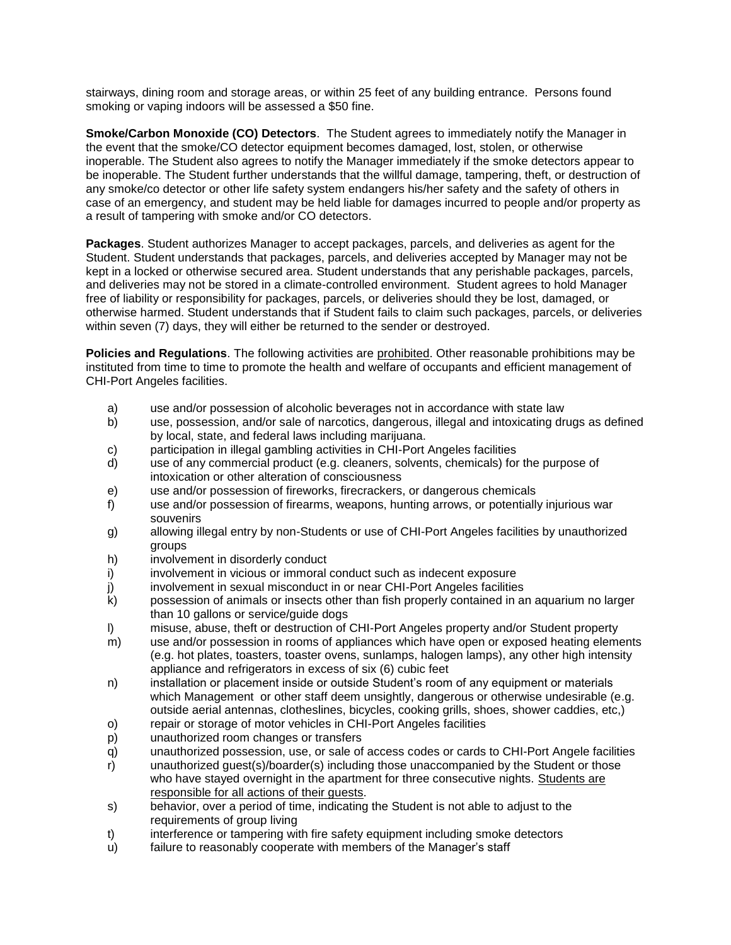stairways, dining room and storage areas, or within 25 feet of any building entrance. Persons found smoking or vaping indoors will be assessed a \$50 fine.

**Smoke/Carbon Monoxide (CO) Detectors**. The Student agrees to immediately notify the Manager in the event that the smoke/CO detector equipment becomes damaged, lost, stolen, or otherwise inoperable. The Student also agrees to notify the Manager immediately if the smoke detectors appear to be inoperable. The Student further understands that the willful damage, tampering, theft, or destruction of any smoke/co detector or other life safety system endangers his/her safety and the safety of others in case of an emergency, and student may be held liable for damages incurred to people and/or property as a result of tampering with smoke and/or CO detectors.

**Packages**. Student authorizes Manager to accept packages, parcels, and deliveries as agent for the Student. Student understands that packages, parcels, and deliveries accepted by Manager may not be kept in a locked or otherwise secured area. Student understands that any perishable packages, parcels, and deliveries may not be stored in a climate-controlled environment. Student agrees to hold Manager free of liability or responsibility for packages, parcels, or deliveries should they be lost, damaged, or otherwise harmed. Student understands that if Student fails to claim such packages, parcels, or deliveries within seven (7) days, they will either be returned to the sender or destroyed.

**Policies and Regulations**. The following activities are prohibited. Other reasonable prohibitions may be instituted from time to time to promote the health and welfare of occupants and efficient management of CHI-Port Angeles facilities.

- a) use and/or possession of alcoholic beverages not in accordance with state law
- b) use, possession, and/or sale of narcotics, dangerous, illegal and intoxicating drugs as defined by local, state, and federal laws including marijuana.
- c) participation in illegal gambling activities in CHI-Port Angeles facilities
- d) use of any commercial product (e.g. cleaners, solvents, chemicals) for the purpose of intoxication or other alteration of consciousness
- e) use and/or possession of fireworks, firecrackers, or dangerous chemicals
- f) use and/or possession of firearms, weapons, hunting arrows, or potentially injurious war souvenirs
- g) allowing illegal entry by non-Students or use of CHI-Port Angeles facilities by unauthorized groups
- h) involvement in disorderly conduct
- i) involvement in vicious or immoral conduct such as indecent exposure
- j) involvement in sexual misconduct in or near CHI-Port Angeles facilities
- k) possession of animals or insects other than fish properly contained in an aquarium no larger than 10 gallons or service/guide dogs
- l) misuse, abuse, theft or destruction of CHI-Port Angeles property and/or Student property
- m) use and/or possession in rooms of appliances which have open or exposed heating elements (e.g. hot plates, toasters, toaster ovens, sunlamps, halogen lamps), any other high intensity appliance and refrigerators in excess of six (6) cubic feet
- n) installation or placement inside or outside Student's room of any equipment or materials which Management or other staff deem unsightly, dangerous or otherwise undesirable (e.g. outside aerial antennas, clotheslines, bicycles, cooking grills, shoes, shower caddies, etc,)
- o) repair or storage of motor vehicles in CHI-Port Angeles facilities
- p) unauthorized room changes or transfers
- q) unauthorized possession, use, or sale of access codes or cards to CHI-Port Angele facilities
- r) unauthorized guest(s)/boarder(s) including those unaccompanied by the Student or those who have stayed overnight in the apartment for three consecutive nights. Students are responsible for all actions of their guests.
- s) behavior, over a period of time, indicating the Student is not able to adjust to the requirements of group living
- t) interference or tampering with fire safety equipment including smoke detectors
- u) failure to reasonably cooperate with members of the Manager's staff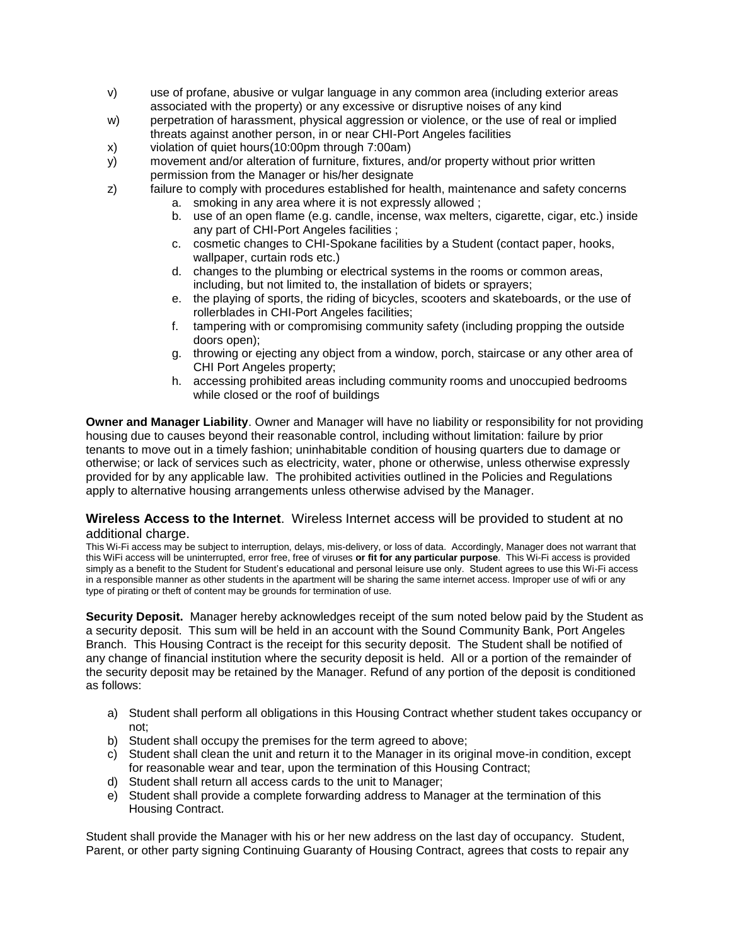- v) use of profane, abusive or vulgar language in any common area (including exterior areas associated with the property) or any excessive or disruptive noises of any kind
- w) perpetration of harassment, physical aggression or violence, or the use of real or implied threats against another person, in or near CHI-Port Angeles facilities
- x) violation of quiet hours(10:00pm through 7:00am)
- y) movement and/or alteration of furniture, fixtures, and/or property without prior written permission from the Manager or his/her designate
- 
- z) failure to comply with procedures established for health, maintenance and safety concerns a. smoking in any area where it is not expressly allowed ;
	- b. use of an open flame (e.g. candle, incense, wax melters, cigarette, cigar, etc.) inside any part of CHI-Port Angeles facilities ;
	- c. cosmetic changes to CHI-Spokane facilities by a Student (contact paper, hooks, wallpaper, curtain rods etc.)
	- d. changes to the plumbing or electrical systems in the rooms or common areas, including, but not limited to, the installation of bidets or sprayers;
	- e. the playing of sports, the riding of bicycles, scooters and skateboards, or the use of rollerblades in CHI-Port Angeles facilities;
	- f. tampering with or compromising community safety (including propping the outside doors open);
	- g. throwing or ejecting any object from a window, porch, staircase or any other area of CHI Port Angeles property;
	- h. accessing prohibited areas including community rooms and unoccupied bedrooms while closed or the roof of buildings

**Owner and Manager Liability**. Owner and Manager will have no liability or responsibility for not providing housing due to causes beyond their reasonable control, including without limitation: failure by prior tenants to move out in a timely fashion; uninhabitable condition of housing quarters due to damage or otherwise; or lack of services such as electricity, water, phone or otherwise, unless otherwise expressly provided for by any applicable law. The prohibited activities outlined in the Policies and Regulations apply to alternative housing arrangements unless otherwise advised by the Manager.

### **Wireless Access to the Internet**. Wireless Internet access will be provided to student at no additional charge.

This Wi-Fi access may be subject to interruption, delays, mis-delivery, or loss of data. Accordingly, Manager does not warrant that this WiFi access will be uninterrupted, error free, free of viruses **or fit for any particular purpose**. This Wi-Fi access is provided simply as a benefit to the Student for Student's educational and personal leisure use only. Student agrees to use this Wi-Fi access in a responsible manner as other students in the apartment will be sharing the same internet access. Improper use of wifi or any type of pirating or theft of content may be grounds for termination of use.

**Security Deposit.** Manager hereby acknowledges receipt of the sum noted below paid by the Student as a security deposit. This sum will be held in an account with the Sound Community Bank, Port Angeles Branch. This Housing Contract is the receipt for this security deposit. The Student shall be notified of any change of financial institution where the security deposit is held. All or a portion of the remainder of the security deposit may be retained by the Manager. Refund of any portion of the deposit is conditioned as follows:

- a) Student shall perform all obligations in this Housing Contract whether student takes occupancy or not;
- b) Student shall occupy the premises for the term agreed to above;
- c) Student shall clean the unit and return it to the Manager in its original move-in condition, except for reasonable wear and tear, upon the termination of this Housing Contract;
- d) Student shall return all access cards to the unit to Manager;
- e) Student shall provide a complete forwarding address to Manager at the termination of this Housing Contract.

Student shall provide the Manager with his or her new address on the last day of occupancy. Student, Parent, or other party signing Continuing Guaranty of Housing Contract, agrees that costs to repair any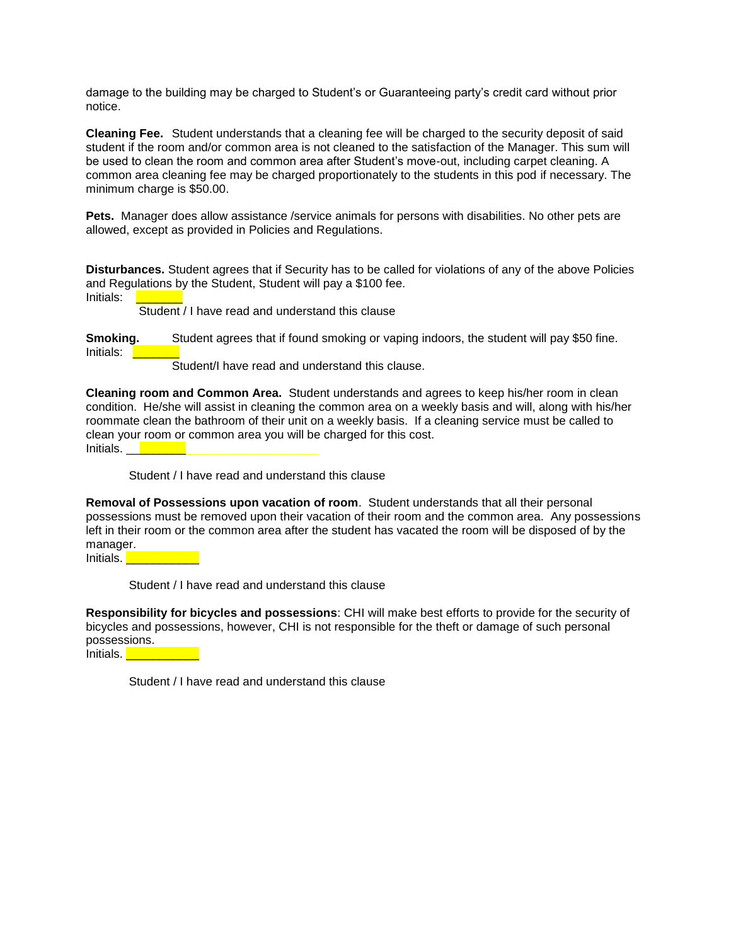damage to the building may be charged to Student's or Guaranteeing party's credit card without prior notice.

**Cleaning Fee.** Student understands that a cleaning fee will be charged to the security deposit of said student if the room and/or common area is not cleaned to the satisfaction of the Manager. This sum will be used to clean the room and common area after Student's move-out, including carpet cleaning. A common area cleaning fee may be charged proportionately to the students in this pod if necessary. The minimum charge is \$50.00.

Pets. Manager does allow assistance /service animals for persons with disabilities. No other pets are allowed, except as provided in Policies and Regulations.

**Disturbances.** Student agrees that if Security has to be called for violations of any of the above Policies and Regulations by the Student, Student will pay a \$100 fee. Initials:

Student / I have read and understand this clause

**Smoking.** Student agrees that if found smoking or vaping indoors, the student will pay \$50 fine. Initials: \_\_\_\_\_\_\_

Student/I have read and understand this clause.

**Cleaning room and Common Area.** Student understands and agrees to keep his/her room in clean condition. He/she will assist in cleaning the common area on a weekly basis and will, along with his/her roommate clean the bathroom of their unit on a weekly basis. If a cleaning service must be called to clean your room or common area you will be charged for this cost. Initials. **Lateral** 

Student / I have read and understand this clause

**Removal of Possessions upon vacation of room**. Student understands that all their personal possessions must be removed upon their vacation of their room and the common area. Any possessions left in their room or the common area after the student has vacated the room will be disposed of by the manager.

Initials.

Student / I have read and understand this clause

**Responsibility for bicycles and possessions**: CHI will make best efforts to provide for the security of bicycles and possessions, however, CHI is not responsible for the theft or damage of such personal possessions.

Initials. **We are the set of the set of the set of the set of the set of the set of the set of the set of the s** 

Student / I have read and understand this clause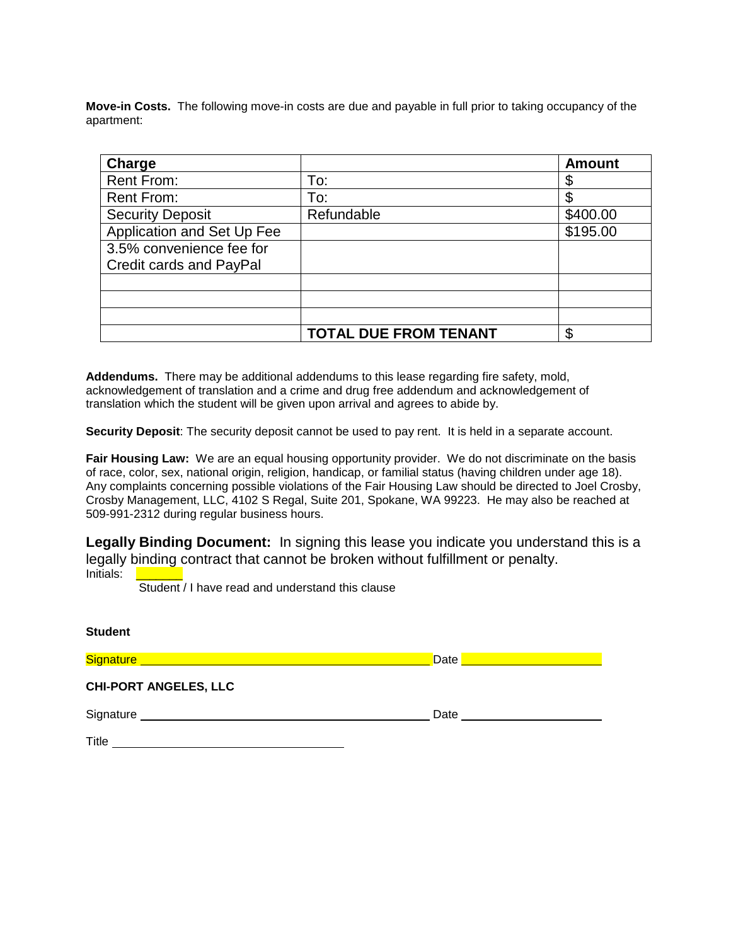**Move-in Costs.** The following move-in costs are due and payable in full prior to taking occupancy of the apartment:

| Charge                     |                              | <b>Amount</b> |
|----------------------------|------------------------------|---------------|
| <b>Rent From:</b>          | To:                          |               |
| <b>Rent From:</b>          | To:                          |               |
| <b>Security Deposit</b>    | Refundable                   | \$400.00      |
| Application and Set Up Fee |                              | \$195.00      |
| 3.5% convenience fee for   |                              |               |
| Credit cards and PayPal    |                              |               |
|                            |                              |               |
|                            |                              |               |
|                            |                              |               |
|                            | <b>TOTAL DUE FROM TENANT</b> | \$            |

**Addendums.** There may be additional addendums to this lease regarding fire safety, mold, acknowledgement of translation and a crime and drug free addendum and acknowledgement of translation which the student will be given upon arrival and agrees to abide by.

**Security Deposit**: The security deposit cannot be used to pay rent. It is held in a separate account.

**Fair Housing Law:** We are an equal housing opportunity provider. We do not discriminate on the basis of race, color, sex, national origin, religion, handicap, or familial status (having children under age 18). Any complaints concerning possible violations of the Fair Housing Law should be directed to Joel Crosby, Crosby Management, LLC, 4102 S Regal, Suite 201, Spokane, WA 99223. He may also be reached at 509-991-2312 during regular business hours.

**Legally Binding Document:** In signing this lease you indicate you understand this is a legally binding contract that cannot be broken without fulfillment or penalty. Initials:

Student / I have read and understand this clause

| <b>Student</b>                                                                                                                 |      |
|--------------------------------------------------------------------------------------------------------------------------------|------|
| Signature <u>___________________________________</u> _                                                                         | Date |
| <b>CHI-PORT ANGELES, LLC</b>                                                                                                   |      |
|                                                                                                                                | Date |
| Title<br><u> 1980 - Jan Samuel Barbara, martin da shekara 1980 - An tsara 1980 - An tsara 1980 - An tsara 1980 - An tsara </u> |      |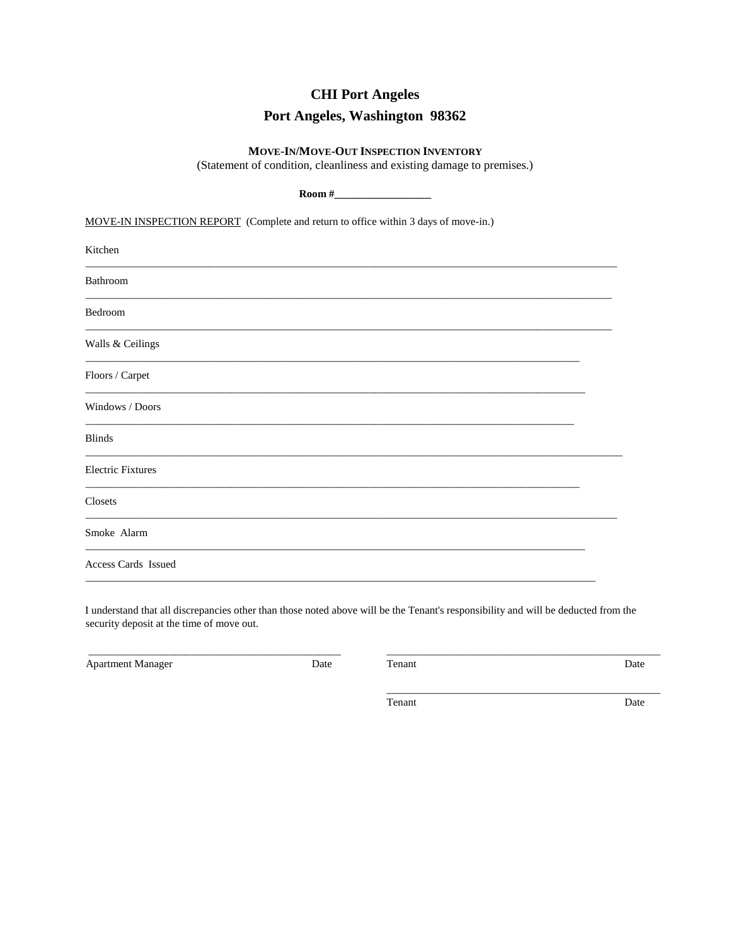# **CHI Port Angeles**

# Port Angeles, Washington 98362

#### MOVE-IN/MOVE-OUT INSPECTION INVENTORY

(Statement of condition, cleanliness and existing damage to premises.)

| MOVE-IN INSPECTION REPORT (Complete and return to office within 3 days of move-in.)                                                                                                                                                            |  |  |
|------------------------------------------------------------------------------------------------------------------------------------------------------------------------------------------------------------------------------------------------|--|--|
| Kitchen                                                                                                                                                                                                                                        |  |  |
| Bathroom<br><u> 1999 - Jan Barnett, fransk politiker (d. 1989)</u>                                                                                                                                                                             |  |  |
| Bedroom                                                                                                                                                                                                                                        |  |  |
| Walls & Ceilings                                                                                                                                                                                                                               |  |  |
| Floors / Carpet                                                                                                                                                                                                                                |  |  |
| Windows / Doors<br>,我们也不能在这里的时候,我们也不能在这里的时候,我们也不能会不能会不能会不能会不能会不能会不能会不能会。<br>第2012章 我们的时候,我们的时候,我们的时候,我们的时候,我们的时候,我们的时候,我们的时候,我们的时候,我们的时候,我们的时候,我们的时候,我们的时候,我                                                                                   |  |  |
| <b>Blinds</b><br>the control of the control of the control of the control of the control of the control of the control of the control of the control of the control of the control of the control of the control of the control of the control |  |  |
| <b>Electric Fixtures</b>                                                                                                                                                                                                                       |  |  |
| Closets                                                                                                                                                                                                                                        |  |  |
| Smoke Alarm                                                                                                                                                                                                                                    |  |  |
| <b>Access Cards Issued</b>                                                                                                                                                                                                                     |  |  |

I understand that all discrepancies other than those noted above will be the Tenant's responsibility and will be deducted from the security deposit at the time of move out.

Apartment Manager

Date

Tenant

Date

Tenant

Date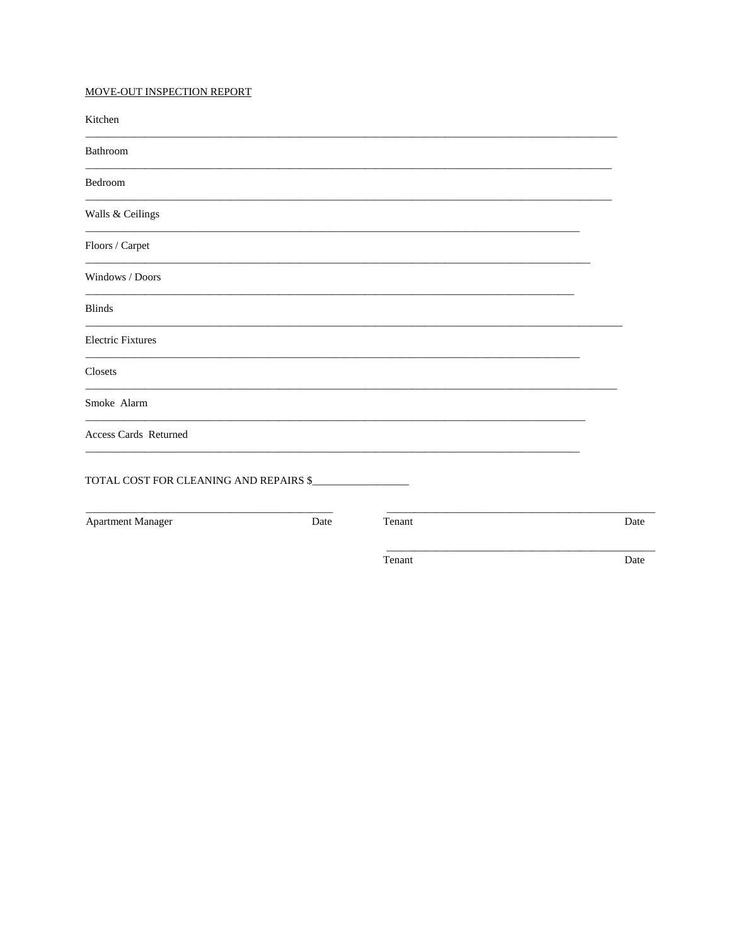### MOVE-OUT INSPECTION REPORT

| Kitchen                                |      |        |      |
|----------------------------------------|------|--------|------|
| Bathroom                               |      |        |      |
| Bedroom                                |      |        |      |
| Walls & Ceilings                       |      |        |      |
| Floors / Carpet                        |      |        |      |
| Windows / Doors                        |      |        |      |
| <b>Blinds</b>                          |      |        |      |
| <b>Electric Fixtures</b>               |      |        |      |
| Closets                                |      |        |      |
| Smoke Alarm                            |      |        |      |
| Access Cards Returned                  |      |        |      |
| TOTAL COST FOR CLEANING AND REPAIRS \$ |      |        |      |
| <b>Apartment Manager</b>               | Date | Tenant | Date |
|                                        |      | Tenant | Date |